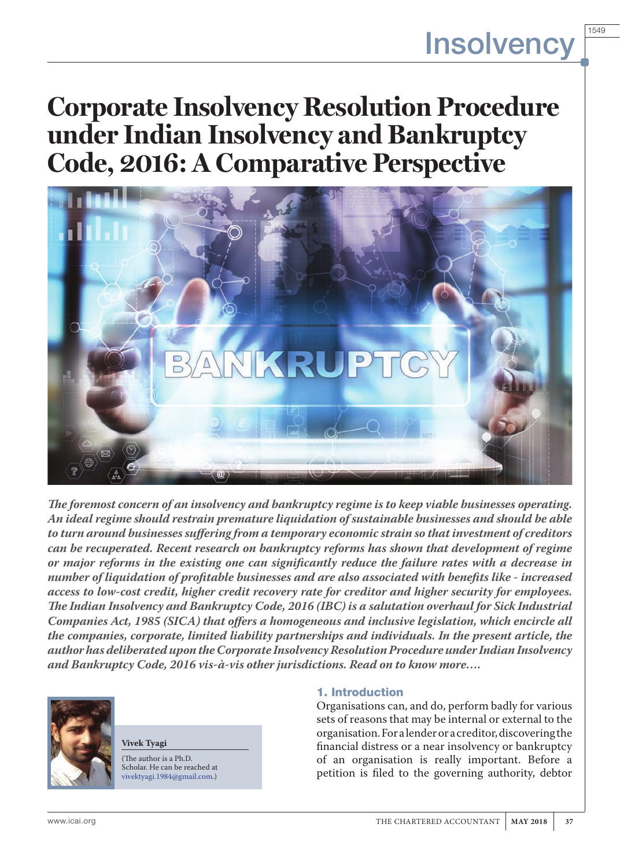# **Corporate Insolvency Resolution Procedure under Indian Insolvency and Bankruptcy Code, 2016: A Comparative Perspective**



*The foremost concern of an insolvency and bankruptcy regime is to keep viable businesses operating. An ideal regime should restrain premature liquidation of sustainable businesses and should be able to turn around businesses suffering from a temporary economic strain so that investment of creditors can be recuperated. Recent research on bankruptcy reforms has shown that development of regime or major reforms in the existing one can significantly reduce the failure rates with a decrease in number of liquidation of profitable businesses and are also associated with benefits like - increased access to low-cost credit, higher credit recovery rate for creditor and higher security for employees. The Indian Insolvency and Bankruptcy Code, 2016 (IBC) is a salutation overhaul for Sick Industrial Companies Act, 1985 (SICA) that offers a homogeneous and inclusive legislation, which encircle all the companies, corporate, limited liability partnerships and individuals. In the present article, the author has deliberated upon the Corporate Insolvency Resolution Procedure under Indian Insolvency and Bankruptcy Code, 2016 vis-à-vis other jurisdictions. Read on to know more….*



**Vivek Tyagi**

(The author is a Ph.D. Scholar. He can be reached at vivektyagi.1984@gmail.com.)

#### 1. Introduction

Organisations can, and do, perform badly for various sets of reasons that may be internal or external to the organisation. For a lender or a creditor, discovering the financial distress or a near insolvency or bankruptcy of an organisation is really important. Before a petition is filed to the governing authority, debtor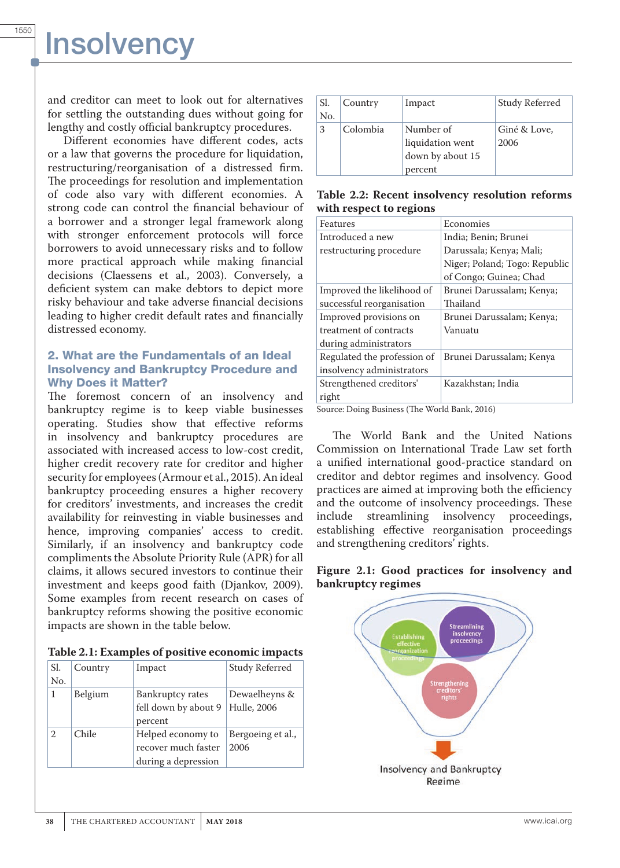and creditor can meet to look out for alternatives for settling the outstanding dues without going for lengthy and costly official bankruptcy procedures.

Different economies have different codes, acts or a law that governs the procedure for liquidation, restructuring/reorganisation of a distressed firm. The proceedings for resolution and implementation of code also vary with different economies. A strong code can control the financial behaviour of a borrower and a stronger legal framework along with stronger enforcement protocols will force borrowers to avoid unnecessary risks and to follow more practical approach while making financial decisions (Claessens et al., 2003). Conversely, a deficient system can make debtors to depict more risky behaviour and take adverse financial decisions leading to higher credit default rates and financially distressed economy.

#### 2. What are the Fundamentals of an Ideal Insolvency and Bankruptcy Procedure and Why Does it Matter?

The foremost concern of an insolvency and bankruptcy regime is to keep viable businesses operating. Studies show that effective reforms in insolvency and bankruptcy procedures are associated with increased access to low-cost credit, higher credit recovery rate for creditor and higher security for employees (Armour et al., 2015). An ideal bankruptcy proceeding ensures a higher recovery for creditors' investments, and increases the credit availability for reinvesting in viable businesses and hence, improving companies' access to credit. Similarly, if an insolvency and bankruptcy code compliments the Absolute Priority Rule (APR) for all claims, it allows secured investors to continue their investment and keeps good faith (Djankov, 2009). Some examples from recent research on cases of bankruptcy reforms showing the positive economic impacts are shown in the table below.

| Table 2.1: Examples of positive economic impacts |  |  |
|--------------------------------------------------|--|--|
|--------------------------------------------------|--|--|

| Sl.            | Country | Impact               | <b>Study Referred</b> |
|----------------|---------|----------------------|-----------------------|
| No.            |         |                      |                       |
| 1              | Belgium | Bankruptcy rates     | Dewaelheyns &         |
|                |         | fell down by about 9 | Hulle, 2006           |
|                |         | percent              |                       |
| $\overline{2}$ | Chile   | Helped economy to    | Bergoeing et al.,     |
|                |         | recover much faster  | 2006                  |
|                |         | during a depression  |                       |

| Sl. | Country  | Impact           | <b>Study Referred</b> |
|-----|----------|------------------|-----------------------|
| No. |          |                  |                       |
| 3   | Colombia | Number of        | Giné & Love,          |
|     |          | liquidation went | 2006                  |
|     |          | down by about 15 |                       |
|     |          | percent          |                       |

**Table 2.2: Recent insolvency resolution reforms with respect to regions**

| Features                    | Economies                     |
|-----------------------------|-------------------------------|
| Introduced a new            | India; Benin; Brunei          |
| restructuring procedure     | Darussala; Kenya; Mali;       |
|                             | Niger; Poland; Togo: Republic |
|                             | of Congo; Guinea; Chad        |
| Improved the likelihood of  | Brunei Darussalam; Kenya;     |
| successful reorganisation   | Thailand                      |
| Improved provisions on      | Brunei Darussalam; Kenya;     |
| treatment of contracts      | Vanuatu                       |
| during administrators       |                               |
| Regulated the profession of | Brunei Darussalam; Kenya      |
| insolvency administrators   |                               |
| Strengthened creditors'     | Kazakhstan; India             |
| right                       |                               |

Source: Doing Business (The World Bank, 2016)

The World Bank and the United Nations Commission on International Trade Law set forth a unified international good-practice standard on creditor and debtor regimes and insolvency. Good practices are aimed at improving both the efficiency and the outcome of insolvency proceedings. These<br>include streamlining insolvency proceedings, streamlining insolvency proceedings, establishing effective reorganisation proceedings and strengthening creditors' rights.



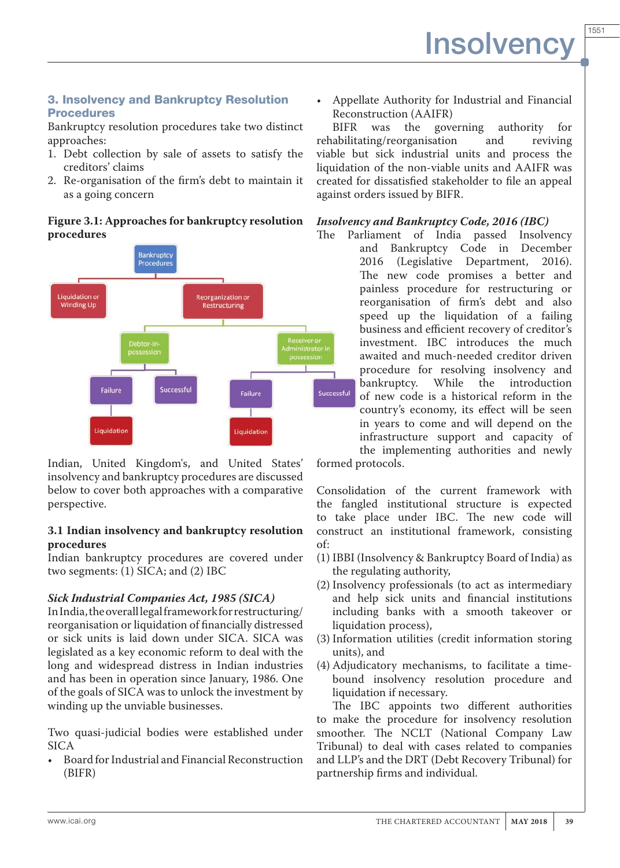# 3. Insolvency and Bankruptcy Resolution **Procedures**

Bankruptcy resolution procedures take two distinct approaches:

- 1. Debt collection by sale of assets to satisfy the creditors' claims
- 2. Re-organisation of the firm's debt to maintain it as a going concern

### **Figure 3.1: Approaches for bankruptcy resolution procedures**



Indian, United Kingdom's, and United States' insolvency and bankruptcy procedures are discussed below to cover both approaches with a comparative perspective.

### **3.1 Indian insolvency and bankruptcy resolution procedures**

Indian bankruptcy procedures are covered under two segments: (1) SICA; and (2) IBC

# *Sick Industrial Companies Act, 1985 (SICA)*

In India, the overall legal framework for restructuring/ reorganisation or liquidation of financially distressed or sick units is laid down under SICA. SICA was legislated as a key economic reform to deal with the long and widespread distress in Indian industries and has been in operation since January, 1986. One of the goals of SICA was to unlock the investment by winding up the unviable businesses.

Two quasi-judicial bodies were established under SICA

• Board for Industrial and Financial Reconstruction (BIFR)

• Appellate Authority for Industrial and Financial Reconstruction (AAIFR)

BIFR was the governing authority for rehabilitating/reorganisation and reviving viable but sick industrial units and process the liquidation of the non-viable units and AAIFR was created for dissatisfied stakeholder to file an appeal against orders issued by BIFR.

# *Insolvency and Bankruptcy Code, 2016 (IBC)*

Parliament of India passed Insolvency and Bankruptcy Code in December 2016 (Legislative Department, 2016). The new code promises a better and painless procedure for restructuring or reorganisation of firm's debt and also speed up the liquidation of a failing business and efficient recovery of creditor's investment. IBC introduces the much awaited and much-needed creditor driven procedure for resolving insolvency and<br>bankruptcy. While the introduction bankruptcy. of new code is a historical reform in the country's economy, its effect will be seen in years to come and will depend on the infrastructure support and capacity of the implementing authorities and newly

formed protocols.

Consolidation of the current framework with the fangled institutional structure is expected to take place under IBC. The new code will construct an institutional framework, consisting of:

- (1) IBBI (Insolvency & Bankruptcy Board of India) as the regulating authority,
- (2) Insolvency professionals (to act as intermediary and help sick units and financial institutions including banks with a smooth takeover or liquidation process),
- (3) Information utilities (credit information storing units), and
- (4) Adjudicatory mechanisms, to facilitate a timebound insolvency resolution procedure and liquidation if necessary.

The IBC appoints two different authorities to make the procedure for insolvency resolution smoother. The NCLT (National Company Law Tribunal) to deal with cases related to companies and LLP's and the DRT (Debt Recovery Tribunal) for partnership firms and individual.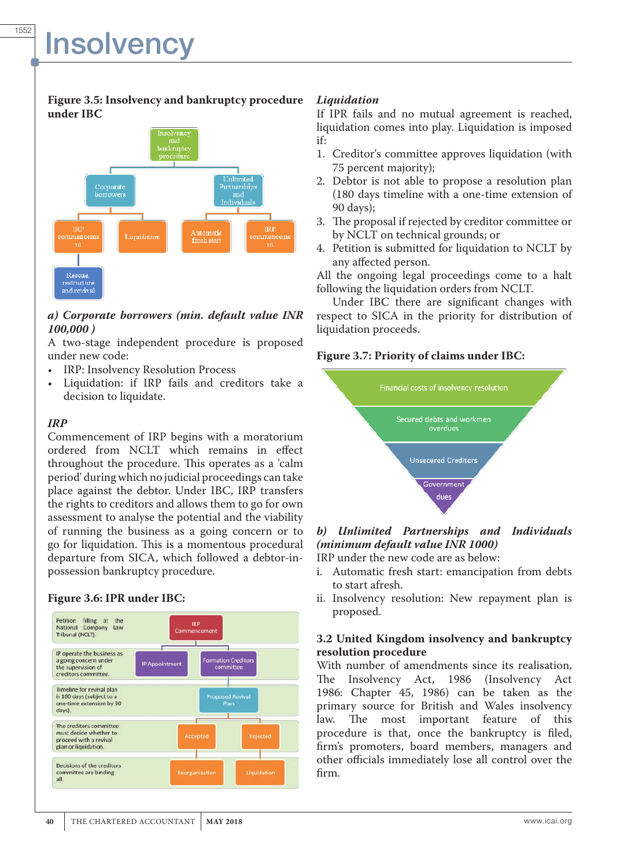#### **Figure 3.5: Insolvency and bankruptcy procedure under IBC**



#### *a) Corporate borrowers (min. default value INR 100,000 )*

A two-stage independent procedure is proposed under new code:

- IRP: Insolvency Resolution Process
- Liquidation: if IRP fails and creditors take a decision to liquidate.

### *IRP*

Commencement of IRP begins with a moratorium ordered from NCLT which remains in effect throughout the procedure. This operates as a 'calm period' during which no judicial proceedings can take place against the debtor. Under IBC, IRP transfers the rights to creditors and allows them to go for own assessment to analyse the potential and the viability of running the business as a going concern or to go for liquidation. This is a momentous procedural departure from SICA, which followed a debtor-inpossession bankruptcy procedure.

# **Figure 3.6: IPR under IBC:**



### *Liquidation*

If IPR fails and no mutual agreement is reached, liquidation comes into play. Liquidation is imposed if:

- 1. Creditor's committee approves liquidation (with 75 percent majority);
- 2. Debtor is not able to propose a resolution plan (180 days timeline with a one-time extension of 90 days);
- 3. The proposal if rejected by creditor committee or by NCLT on technical grounds; or
- 4. Petition is submitted for liquidation to NCLT by any affected person.

All the ongoing legal proceedings come to a halt following the liquidation orders from NCLT.

Under IBC there are significant changes with respect to SICA in the priority for distribution of liquidation proceeds.

#### **Figure 3.7: Priority of claims under IBC:**



# *b) Unlimited Partnerships and Individuals (minimum default value INR 1000)*

IRP under the new code are as below:

- i. Automatic fresh start: emancipation from debts to start afresh.
- ii. Insolvency resolution: New repayment plan is proposed.

#### **3.2 United Kingdom insolvency and bankruptcy resolution procedure**

With number of amendments since its realisation, The Insolvency Act, 1986 (Insolvency Act 1986: Chapter 45, 1986) can be taken as the primary source for British and Wales insolvency<br>law. The most important feature of this The most important feature of this procedure is that, once the bankruptcy is filed, firm's promoters, board members, managers and other officials immediately lose all control over the firm.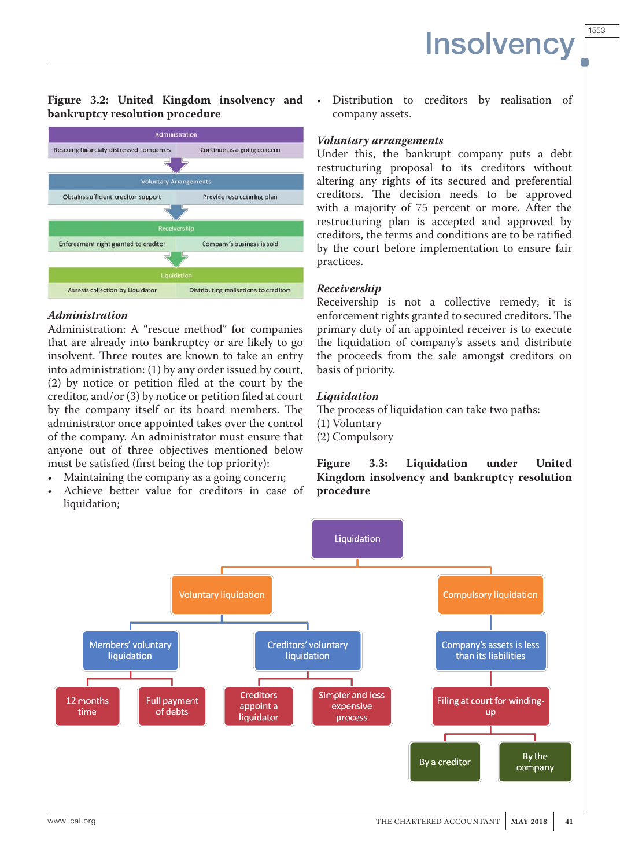1553

#### **Figure 3.2: United Kingdom insolvency and bankruptcy resolution procedure**



#### *Administration*

Administration: A "rescue method" for companies that are already into bankruptcy or are likely to go insolvent. Three routes are known to take an entry into administration: (1) by any order issued by court, (2) by notice or petition filed at the court by the creditor, and/or (3) by notice or petition filed at court by the company itself or its board members. The administrator once appointed takes over the control of the company. An administrator must ensure that anyone out of three objectives mentioned below must be satisfied (first being the top priority):

- Maintaining the company as a going concern;
- Achieve better value for creditors in case of liquidation;

Distribution to creditors by realisation of company assets.

#### *Voluntary arrangements*

Under this, the bankrupt company puts a debt restructuring proposal to its creditors without altering any rights of its secured and preferential creditors. The decision needs to be approved with a majority of 75 percent or more. After the restructuring plan is accepted and approved by creditors, the terms and conditions are to be ratified by the court before implementation to ensure fair practices.

#### *Receivership*

Receivership is not a collective remedy; it is enforcement rights granted to secured creditors. The primary duty of an appointed receiver is to execute the liquidation of company's assets and distribute the proceeds from the sale amongst creditors on basis of priority.

#### *Liquidation*

The process of liquidation can take two paths: (1) Voluntary (2) Compulsory

**Figure 3.3: Liquidation under United Kingdom insolvency and bankruptcy resolution procedure**

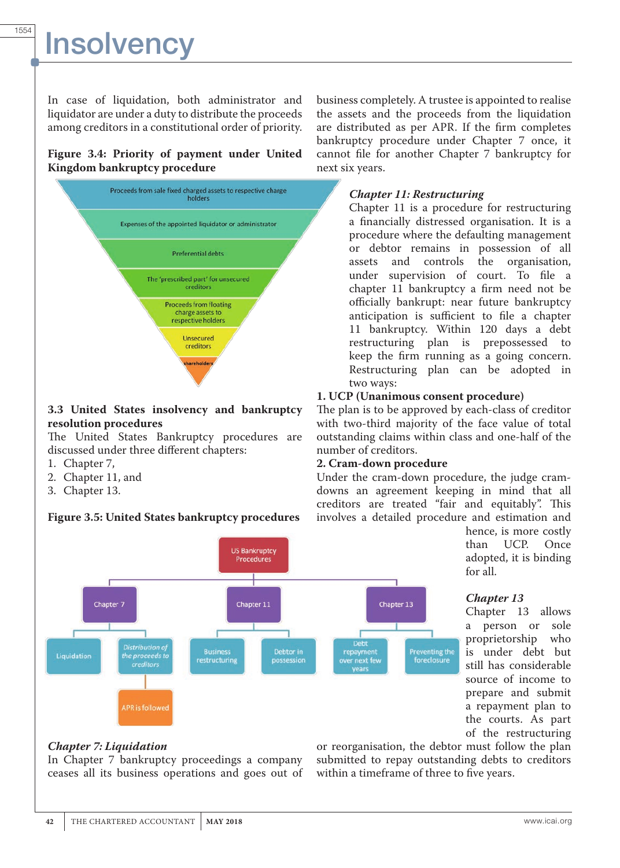In case of liquidation, both administrator and liquidator are under a duty to distribute the proceeds among creditors in a constitutional order of priority.

### **Figure 3.4: Priority of payment under United Kingdom bankruptcy procedure**



# **3.3 United States insolvency and bankruptcy resolution procedures**

The United States Bankruptcy procedures are discussed under three different chapters:

- 1. Chapter 7,
- 2. Chapter 11, and
- 3. Chapter 13.

# **Figure 3.5: United States bankruptcy procedures**

business completely. A trustee is appointed to realise the assets and the proceeds from the liquidation are distributed as per APR. If the firm completes bankruptcy procedure under Chapter 7 once, it cannot file for another Chapter 7 bankruptcy for next six years.

# *Chapter 11: Restructuring*

Chapter 11 is a procedure for restructuring a financially distressed organisation. It is a procedure where the defaulting management or debtor remains in possession of all assets and controls the organisation, under supervision of court. To file a chapter 11 bankruptcy a firm need not be officially bankrupt: near future bankruptcy anticipation is sufficient to file a chapter 11 bankruptcy. Within 120 days a debt restructuring plan is prepossessed to keep the firm running as a going concern. Restructuring plan can be adopted in two ways:

# **1. UCP (Unanimous consent procedure)**

The plan is to be approved by each-class of creditor with two-third majority of the face value of total outstanding claims within class and one-half of the number of creditors.

# **2. Cram-down procedure**

Under the cram-down procedure, the judge cramdowns an agreement keeping in mind that all creditors are treated "fair and equitably". This involves a detailed procedure and estimation and

hence, is more costly than UCP. Once adopted, it is binding for all.

# *Chapter 13*

Chapter 13 allows a person or sole proprietorship who is under debt but still has considerable source of income to prepare and submit a repayment plan to the courts. As part of the restructuring

# *Chapter 7: Liquidation*

In Chapter 7 bankruptcy proceedings a company ceases all its business operations and goes out of or reorganisation, the debtor must follow the plan submitted to repay outstanding debts to creditors within a timeframe of three to five years.

**Preventing the** 

foreclosur

Chapter<sup>7</sup> Chapter 11 Chapter 13 Distribution of Debtor in **Business** Liquidation the proceeds to restructurin possession **creditors PR** is follow

**US Bankruptcy** Procedures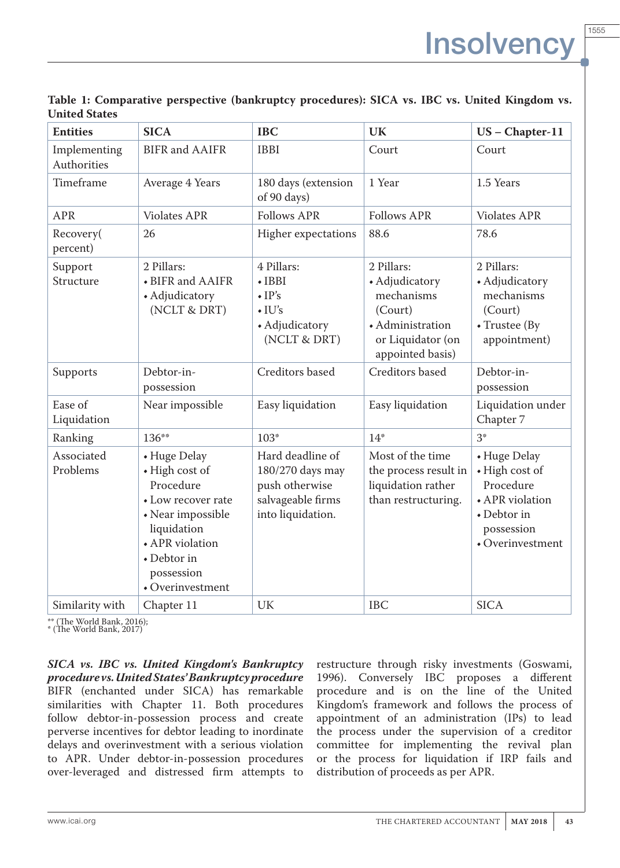| <b>Entities</b>             | <b>SICA</b>                                                                                                                                                               | <b>IBC</b>                                                                                       | UK                                                                                                                 | $US$ – Chapter-11                                                                                                       |
|-----------------------------|---------------------------------------------------------------------------------------------------------------------------------------------------------------------------|--------------------------------------------------------------------------------------------------|--------------------------------------------------------------------------------------------------------------------|-------------------------------------------------------------------------------------------------------------------------|
| Implementing<br>Authorities | <b>BIFR</b> and <b>AAIFR</b>                                                                                                                                              | <b>IBBI</b>                                                                                      | Court                                                                                                              | Court                                                                                                                   |
| Timeframe                   | Average 4 Years                                                                                                                                                           | 180 days (extension<br>of 90 days)                                                               | 1 Year                                                                                                             | 1.5 Years                                                                                                               |
| <b>APR</b>                  | <b>Violates APR</b>                                                                                                                                                       | <b>Follows APR</b>                                                                               | <b>Follows APR</b>                                                                                                 | <b>Violates APR</b>                                                                                                     |
| Recovery(<br>percent)       | 26                                                                                                                                                                        | Higher expectations                                                                              | 88.6                                                                                                               | 78.6                                                                                                                    |
| Support<br>Structure        | 2 Pillars:<br>• BIFR and AAIFR<br>• Adjudicatory<br>(NCLT & DRT)                                                                                                          | 4 Pillars:<br>$\cdot$ IBBI<br>$\cdot$ IP's<br>$\cdot$ IU's<br>• Adjudicatory<br>(NCLT & DRT)     | 2 Pillars:<br>• Adjudicatory<br>mechanisms<br>(Court)<br>• Administration<br>or Liquidator (on<br>appointed basis) | 2 Pillars:<br>• Adjudicatory<br>mechanisms<br>(Court)<br>$\bullet$ Trustee (By<br>appointment)                          |
| Supports                    | Debtor-in-<br>possession                                                                                                                                                  | <b>Creditors</b> based                                                                           | Creditors based                                                                                                    | Debtor-in-<br>possession                                                                                                |
| Ease of<br>Liquidation      | Near impossible                                                                                                                                                           | Easy liquidation                                                                                 | Easy liquidation                                                                                                   | Liquidation under<br>Chapter 7                                                                                          |
| Ranking                     | 136**                                                                                                                                                                     | $103*$                                                                                           | $14*$                                                                                                              | $3*$                                                                                                                    |
| Associated<br>Problems      | • Huge Delay<br>• High cost of<br>Procedure<br>• Low recover rate<br>• Near impossible<br>liquidation<br>• APR violation<br>• Debtor in<br>possession<br>• Overinvestment | Hard deadline of<br>180/270 days may<br>push otherwise<br>salvageable firms<br>into liquidation. | Most of the time<br>the process result in<br>liquidation rather<br>than restructuring.                             | • Huge Delay<br>• High cost of<br>Procedure<br>• APR violation<br>• Debtor in<br>possession<br>$\bullet$ Overinvestment |
| Similarity with             | Chapter 11                                                                                                                                                                | UK                                                                                               | <b>IBC</b>                                                                                                         | <b>SICA</b>                                                                                                             |

**Table 1: Comparative perspective (bankruptcy procedures): SICA vs. IBC vs. United Kingdom vs. United States**

\*\* (The World Bank, 2016);

\* (The World Bank, 2017)

*SICA vs. IBC vs. United Kingdom's Bankruptcy procedure vs. United States' Bankruptcy procedure* BIFR (enchanted under SICA) has remarkable similarities with Chapter 11. Both procedures follow debtor-in-possession process and create perverse incentives for debtor leading to inordinate delays and overinvestment with a serious violation to APR. Under debtor-in-possession procedures over-leveraged and distressed firm attempts to

restructure through risky investments (Goswami, 1996). Conversely IBC proposes a different procedure and is on the line of the United Kingdom's framework and follows the process of appointment of an administration (IPs) to lead the process under the supervision of a creditor committee for implementing the revival plan or the process for liquidation if IRP fails and distribution of proceeds as per APR.